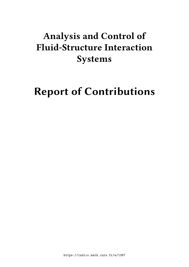# **Analysis and Control of Fluid-Structure Interaction Systems**

# **Report of Contributions**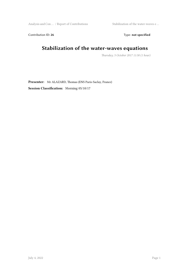Analysis and Con … / Report of Contributions Stabilization of the water-waves e …

Contribution ID: 26 Type: **not specified** 

## **Stabilization of the water-waves equations**

*Thursday, 5 October 2017 11:30 (1 hour)*

**Presenter:** Mr ALAZARD, Thomas (ENS Paris-Saclay, France) **Session Classification:** Morning 05/10/17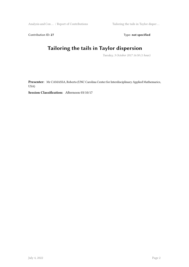Contribution ID: 27 Type: **not specified** 

## **Tailoring the tails in Taylor dispersion**

*Tuesday, 3 October 2017 16:30 (1 hour)*

**Presenter:** Mr CAMASSA, Roberto (UNC Carolina Center for Interdisciplinary Applied Mathemarics, USA)

**Session Classification:** Afternoon 03/10/17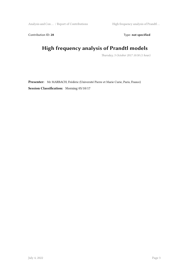Analysis and Con … / Report of Contributions High frequency analysis of Prandtl …

Contribution ID: 28 Type: **not specified** 

# **High frequency analysis of Prandtl models**

*Thursday, 5 October 2017 10:30 (1 hour)*

**Presenter:** Mr MARBACH, Frédéric (Université Pierre et Marie Curie, Paris, France) **Session Classification:** Morning 05/10/17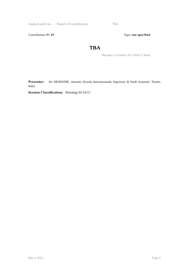Analysis and Con ... / Report of Contributions TBA

Contribution ID: 29 Type: **not specified** 

#### **TBA**

*Thursday, 5 October 2017 09:00 (1 hour)*

**Presenter:** Mr DESIMONE, Antonio (Scuola Internazionale Superiore di Studi Avanzati, Trieste, Italy)

**Session Classification:** Morning 05/10/17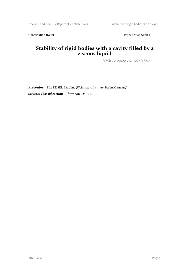Contribution ID: 30 Type: not specified

#### **Stability of rigid bodies with a cavity filled by a viscous liquid**

*Monday, 2 October 2017 14:00 (1 hour)*

**Presenter:** Mrs DISSER, Karoline (Weierstrass Institute, Berlin, Germany) **Session Classification:** Afternoon 02/10/17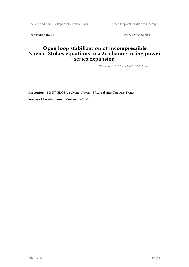Analysis and Con ... / Report of Contributions Open loop stabilization of incompr ...

Contribution ID: 31 Type: **not specified** 

#### **Open loop stabilization of incompressible Navier–Stokes equations in a 2d channel using power series expansion**

*Wednesday, 4 October 2017 10:00 (1 hour)*

**Presenter:** Mr ERVEDOZA, Sylvain (Université Paul Sabatier, Toulouse, France) **Session Classification:** Morning 04/10/17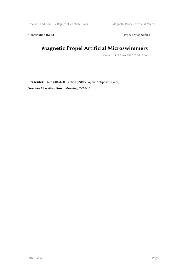Analysis and Con ... / Report of Contributions Magnetic Propel Artificial Micros ...

Contribution ID: 32 Type: **not specified** 

## **Magnetic Propel Artificial Microswimmers**

*Tuesday, 3 October 2017 10:30 (1 hour)*

**Presenter:** Mrs GIRALDI, Laetitia (INRIA Sophia Antipolis, France) **Session Classification:** Morning 03/10/17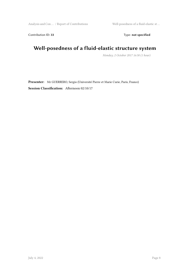Contribution ID: 33 Type: **not specified** 

## **Well-posedness of a fluid-elastic structure system**

*Monday, 2 October 2017 16:30 (1 hour)*

**Presenter:** Mr GUERRERO, Sergio (Université Pierre et Marie Curie, Paris, France) **Session Classification:** Afternoon 02/10/17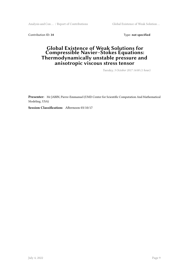Analysis and Con … / Report of Contributions Global Existence of Weak Solution …

Contribution ID: 34 Type: **not specified** 

#### **Global Existence of Weak Solutions for Compressible Navier–Stokes Equations: Thermodynamically unstable pressure and anisotropic viscous stress tensor**

*Tuesday, 3 October 2017 14:00 (1 hour)*

**Presenter:** Mr JABIN, Pierre-Emmanuel (UMD Center for Scientific Computation And Mathematical Modeling, USA)

**Session Classification:** Afternoon 03/10/17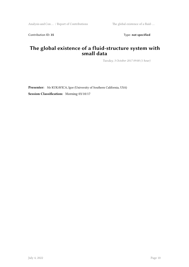Contribution ID: 35 Type: **not specified** 

#### **The global existence of a fluid-structure system with small data**

*Tuesday, 3 October 2017 09:00 (1 hour)*

**Presenter:** Mr KUKAVICA, Igor (University of Southern California, USA) **Session Classification:** Morning 03/10/17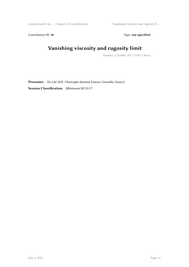Analysis and Con … / Report of Contributions Vanishing viscosity and rugosity li …

Contribution ID: 36 Type: **not specified** 

# **Vanishing viscosity and rugosity limit**

*Monday, 2 October 2017 15:00 (1 hour)*

**Presenter:** Mr LACAVE, Christophe (Institut Fourier, Grenoble, France) **Session Classification:** Afternoon 02/10/17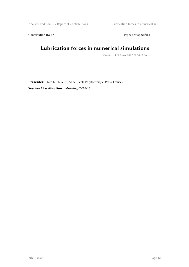Analysis and Con … / Report of Contributions Lubrication forces in numerical si …

Contribution ID: 37 Type: **not specified** 

## **Lubrication forces in numerical simulations**

*Tuesday, 3 October 2017 11:30 (1 hour)*

**Presenter:** Mrs LEFEBVRE, Aline (Ecole Polytechnique, Paris, France) **Session Classification:** Morning 03/10/17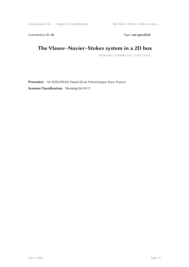Analysis and Con … / Report of Contributions The Vlasov–Navier–Stokes system …

Contribution ID: 38 Type: **not specified** 

## **The Vlasov–Navier–Stokes system in a 2D box**

*Wednesday, 4 October 2017 11:00 (1 hour)*

**Presenter:** Mr HAN-KWAN, Daniel (Ecole Polytechnique, Paris, France) **Session Classification:** Morning 04/10/17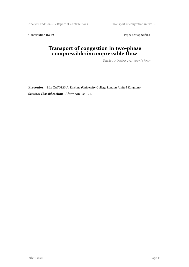Analysis and Con ... / Report of Contributions Transport of congestion in two-...

Contribution ID: 39 Type: **not specified** 

## **Transport of congestion in two-phase compressible/incompressible flow**

*Tuesday, 3 October 2017 15:00 (1 hour)*

**Presenter:** Mrs ZATORSKA, Ewelina (University College London, United Kingdom) **Session Classification:** Afternoon 03/10/17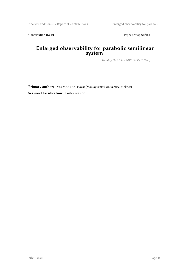Contribution ID: 40 **Type:** not specified

#### **Enlarged observability for parabolic semilinear system**

*Tuesday, 3 October 2017 17:30 (1h 30m)*

**Primary author:** Mrs ZOUITEN, Hayat (Moulay Ismail University; Meknes)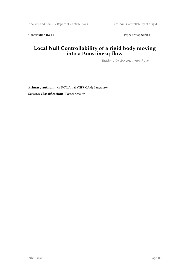Contribution ID: 41 Type: **not specified** 

#### **Local Null Controllability of a rigid body moving into a Boussinesq flow**

*Tuesday, 3 October 2017 17:30 (1h 30m)*

**Primary author:** Mr ROY, Arnab (TIFR CAM; Bangalore) **Session Classification:** Poster session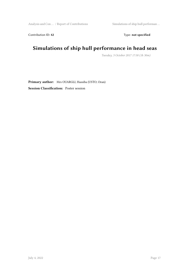Analysis and Con … / Report of Contributions Simulations of ship hull performan …

Contribution ID: 42 Type: **not specified** 

## **Simulations of ship hull performance in head seas**

*Tuesday, 3 October 2017 17:30 (1h 30m)*

**Primary author:** Mrs OUARGLI, Hassiba (USTO; Oran) **Session Classification:** Poster session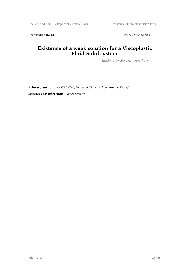Contribution ID: 43 Type: **not specified** 

## **Existence of a weak solution for a Viscoplastic Fluid-Solid system**

*Tuesday, 3 October 2017 17:30 (1h 30m)*

**Primary author:** Mr OBANDO, Benjamin (Université de Lorraine, Nancy)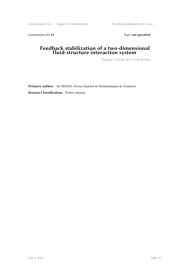Contribution ID: 44 Type: **not specified** 

#### **Feedback stabilization of a two-dimensional fluid-structure interaction system**

*Tuesday, 3 October 2017 17:30 (1h 30m)*

**Primary author:** Mr NDIAYE, Moctar (Institut de Mathématiques de Toulouse)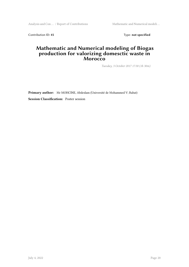Analysis and Con ... / Report of Contributions Mathematic and Numerical modeli ...

Contribution ID: 45 Type: **not specified** 

#### **Mathematic and Numerical modeling of Biogas production for valorizing domesctic waste in Morocco**

*Tuesday, 3 October 2017 17:30 (1h 30m)*

**Primary author:** Mr MOHCINE, Abdeslam (Université de Mohammed V; Rabat) **Session Classification:** Poster session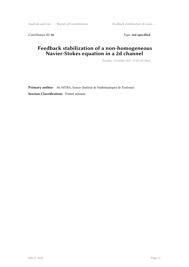Analysis and Con ... / Report of Contributions Feedback stabilization of a non-...

Contribution ID: 46 Type: **not specified** 

#### **Feedback stabilization of a non-homogeneous Navier-Stokes equation in a 2d channel**

*Tuesday, 3 October 2017 17:30 (1h 30m)*

**Primary author:** Mr MITRA, Sourav (Institut de Mathématiques de Toulouse) **Session Classification:** Poster session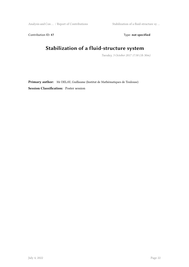Analysis and Con … / Report of Contributions Stabilization of a fluid-structure sy …

Contribution ID: 47 Type: **not specified** 

## **Stabilization of a fluid-structure system**

*Tuesday, 3 October 2017 17:30 (1h 30m)*

**Primary author:** Mr DELAY, Guillaume (Institut de Mathématiques de Toulouse) **Session Classification:** Poster session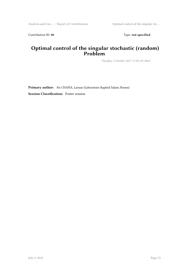Contribution ID: 48 Type: **not specified** 

#### **Optimal control of the singular stochastic (random) Problem**

*Tuesday, 3 October 2017 17:30 (1h 30m)*

**Primary author:** Mr CHAFIA, Laouar (Laboratoire Rapheil Salam; Rouen)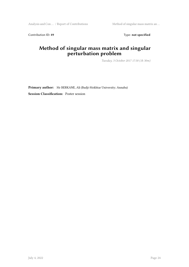Analysis and Con … / Report of Contributions Method of singular mass matrix an …

Contribution ID: 49 Type: **not specified** 

## **Method of singular mass matrix and singular perturbation problem**

*Tuesday, 3 October 2017 17:30 (1h 30m)*

**Primary author:** Mr BERKANE, Ali (Badji-Mokhtar University; Annaba)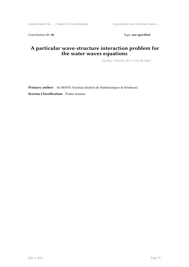Analysis and Con … / Report of Contributions A particular wave-structure intera …

Contribution ID: 50 Type: not specified

## **A particular wave-structure interaction problem for the water waves equations**

*Tuesday, 3 October 2017 17:30 (1h 30m)*

**Primary author:** Mr BENYO, Krisztian (Institut de Mathématiques de Bordeaux) **Session Classification:** Poster session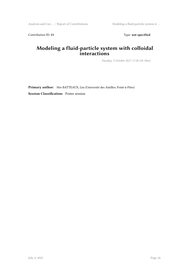Contribution ID: 51 Type: **not specified** 

#### **Modeling a fluid-particle system with colloidal interactions**

*Tuesday, 3 October 2017 17:30 (1h 30m)*

**Primary author:** Mrs BATTEAUX, Léa (Université des Antilles; Point-à-Pitre)